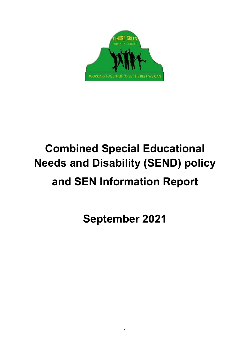

# **Combined Special Educational Needs and Disability (SEND) policy and SEN Information Report**

**September 2021**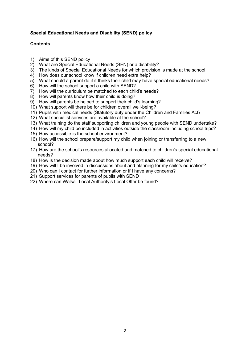## **Special Educational Needs and Disability (SEND) policy**

#### **Contents**

- 1) Aims of this SEND policy
- 2) What are Special Educational Needs (SEN) or a disability?
- 3) The kinds of Special Educational Needs for which provision is made at the school
- 4) How does our school know if children need extra help?
- 5) What should a parent do if it thinks their child may have special educational needs?
- 6) How will the school support a child with SEND?
- 7) How will the curriculum be matched to each child's needs?
- 8) How will parents know how their child is doing?
- 9) How will parents be helped to support their child's learning?
- 10) What support will there be for children overall well-being?
- 11) Pupils with medical needs (Statutory duty under the Children and Families Act)
- 12) What specialist services are available at the school?
- 13) What training do the staff supporting children and young people with SEND undertake?
- 14) How will my child be included in activities outside the classroom including school trips?
- 15) How accessible is the school environment?
- 16) How will the school prepare/support my child when joining or transferring to a new school?
- 17) How are the school's resources allocated and matched to children's special educational needs?
- 18) How is the decision made about how much support each child will receive?
- 19) How will I be involved in discussions about and planning for my child's education?
- 20) Who can I contact for further information or if I have any concerns?
- 21) Support services for parents of pupils with SEND
- 22) Where can Walsall Local Authority's Local Offer be found?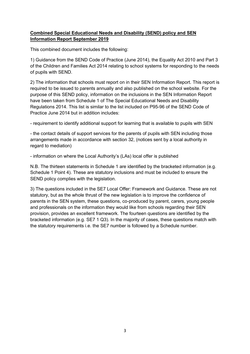# **Combined Special Educational Needs and Disability (SEND) policy and SEN Information Report September 2019**

This combined document includes the following:

1) Guidance from the SEND Code of Practice (June 2014), the Equality Act 2010 and Part 3 of the Children and Families Act 2014 relating to school systems for responding to the needs of pupils with SEND.

2) The information that schools must report on in their SEN Information Report. This report is required to be issued to parents annually and also published on the school website. For the purpose of this SEND policy, information on the inclusions in the SEN Information Report have been taken from Schedule 1 of The Special Educational Needs and Disability Regulations 2014. This list is similar to the list included on P95-96 of the SEND Code of Practice June 2014 but in addition includes:

- requirement to identify additional support for learning that is available to pupils with SEN

- the contact details of support services for the parents of pupils with SEN including those arrangements made in accordance with section 32, (notices sent by a local authority in regard to mediation)

- information on where the Local Authority's (LAs) local offer is published

N.B. The thirteen statements in Schedule 1 are identified by the bracketed information (e.g. Schedule 1 Point 4). These are statutory inclusions and must be included to ensure the SEND policy complies with the legislation.

3) The questions included in the SE7 Local Offer: Framework and Guidance. These are not statutory, but as the whole thrust of the new legislation is to improve the confidence of parents in the SEN system, these questions, co-produced by parent, carers, young people and professionals on the information they would like from schools regarding their SEN provision, provides an excellent framework. The fourteen questions are identified by the bracketed information (e.g. SE7 1 Q3). In the majority of cases, these questions match with the statutory requirements i.e. the SE7 number is followed by a Schedule number.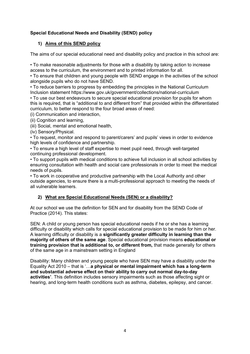# **Special Educational Needs and Disability (SEND) policy**

# **1) Aims of this SEND policy**

The aims of our special educational need and disability policy and practice in this school are:

• To make reasonable adjustments for those with a disability by taking action to increase access to the curriculum, the environment and to printed information for all.

• To ensure that children and young people with SEND engage in the activities of the school alongside pupils who do not have SEND.

• To reduce barriers to progress by embedding the principles in the National Curriculum Inclusion statement https://www.gov.uk/government/collections/national-curriculum

• To use our best endeavours to secure special educational provision for pupils for whom this is required, that is "additional to and different from" that provided within the differentiated curriculum, to better respond to the four broad areas of need:

(i) Communication and interaction,

(ii) Cognition and learning,

(iii) Social, mental and emotional health,

(iv) Sensory/Physical.

• To request, monitor and respond to parent/carers' and pupils' views in order to evidence high levels of confidence and partnership.

• To ensure a high level of staff expertise to meet pupil need, through well-targeted continuing professional development.

• To support pupils with medical conditions to achieve full inclusion in all school activities by ensuring consultation with health and social care professionals in order to meet the medical needs of pupils.

• To work in cooperative and productive partnership with the Local Authority and other outside agencies, to ensure there is a multi-professional approach to meeting the needs of all vulnerable learners.

# **2) What are Special Educational Needs (SEN) or a disability?**

At our school we use the definition for SEN and for disability from the SEND Code of Practice (2014). This states:

SEN: A child or young person has special educational needs if he or she has a learning difficulty or disability which calls for special educational provision to be made for him or her. A learning difficulty or disability is a **significantly greater difficulty in learning than the majority of others of the same age**. Special educational provision means **educational or training provision that is additional to, or different from,** that made generally for others of the same age in a mainstream setting in England

Disability: Many children and young people who have SEN may have a disability under the Equality Act 2010 – that is '…**a physical or mental impairment which has a long-term and substantial adverse effect on their ability to carry out normal day-to-day activities'**. This definition includes sensory impairments such as those affecting sight or hearing, and long-term health conditions such as asthma, diabetes, epilepsy, and cancer.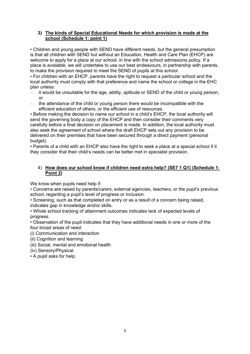## **3) The kinds of Special Educational Needs for which provision is made at the school (Schedule 1: point 1)**

• Children and young people with SEND have different needs, but the general presumption is that all children with SEND but without an Education, Health and Care Plan (EHCP) are welcome to apply for a place at our school, in line with the school admissions policy. If a place is available, we will undertake to use our best endeavours, in partnership with parents, to make the provision required to meet the SEND of pupils at this school.

• For children with an EHCP, parents have the right to request a particular school and the local authority must comply with that preference and name the school or college in the EHC plan unless:

- it would be unsuitable for the age, ability, aptitude or SEND of the child or young person, or
- the attendance of the child or young person there would be incompatible with the efficient education of others, or the efficient use of resources.

• Before making the decision to name our school in a child's EHCP, the local authority will send the governing body a copy of the EHCP and then consider their comments very carefully before a final decision on placement is made. In addition, the local authority must also seek the agreement of school where the draft EHCP sets out any provision to be delivered on their premises that have been secured through a direct payment (personal budget).

• Parents of a child with an EHCP also have the right to seek a place at a special school if it they consider that their child's needs can be better met in specialist provision.

## 4) **How does our school know if children need extra help? (SE7 1 Q1) (Schedule 1: Point 2)**

We know when pupils need help if:

• Concerns are raised by parents/carers, external agencies, teachers, or the pupil's previous school, regarding a pupil's level of progress or inclusion.

• Screening, such as that completed on entry or as a result of a concern being raised, indicates gap in knowledge and/or skills.

• Whole school tracking of attainment outcomes indicates lack of expected levels of progress.

• Observation of the pupil indicates that they have additional needs in one or more of the four broad areas of need:

(i) Communication and interaction

(ii) Cognition and learning

(iii) Social, mental and emotional health

(iv) Sensory/Physical

• A pupil asks for help.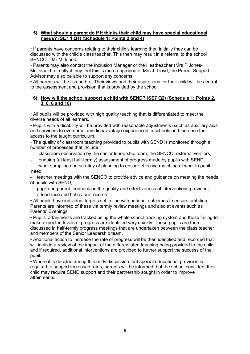## **5) What should a parent do if it thinks their child may have special educational needs? (SE7 1 Q1) (Schedule 1: Points 2 and 4)**

• If parents have concerns relating to their child's learning then initially they can be discussed with the child's class teacher. This then may result in a referral to the school SENCO – Mr M Jones.

• Parents may also contact the Inclusion Manager or the Headteacher (Mrs P Jones-McDonald) directly if they feel this is more appropriate. Mrs J. Lloyd, the Parent Support Advisor may also be able to support any concerns.

• All parents will be listened to. Their views and their aspirations for their child will be central to the assessment and provision that is provided by the school.

### **6) How will the school support a child with SEND? (SE7 Q2) (Schedule 1: Points 2, 3, 6, 8 and 10)**

• All pupils will be provided with high quality teaching that is differentiated to meet the diverse needs of all learners.

• Pupils with a disability will be provided with reasonable adjustments (such as auxiliary aids and services) to overcome any disadvantage experienced in schools and increase their access to the taught curriculum.

• The quality of classroom teaching provided to pupils with SEND is monitored through a number of processes that include:

- classroom observation by the senior leadership team, the SENCO, external verifiers,
- ongoing (at least half-termly) assessment of progress made by pupils with SEND,
- work sampling and scrutiny of planning to ensure effective matching of work to pupil need,

teacher meetings with the SENCO to provide advice and guidance on meeting the needs of pupils with SEND,

- pupil and parent feedback on the quality and effectiveness of interventions provided,
- attendance and behaviour records.
- All pupils have individual targets set in line with national outcomes to ensure ambition. Parents are informed of these via termly review meetings and also at events such as Parents' Evenings.

• Pupils' attainments are tracked using the whole school tracking system and those failing to make expected levels of progress are identified very quickly. These pupils are then discussed in half-termly progress meetings that are undertaken between the class teacher and members of the Senior Leadership team.

• Additional action to increase the rate of progress will be then identified and recorded that will include a review of the impact of the differentiated teaching being provided to the child, and if required, additional interventions are provided to further support the success of the pupil.

• Where it is decided during this early discussion that special educational provision is required to support increased rates, parents will be informed that the school considers their child may require SEND support and their partnership sought in order to improve attainments.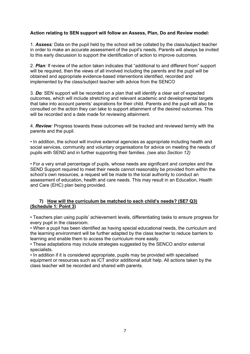## **Action relating to SEN support will follow an Assess, Plan, Do and Review model:**

1*. Assess:* Data on the pupil held by the school will be collated by the class/subject teacher in order to make an accurate assessment of the pupil's needs. Parents will always be invited to this early discussion to support the identification of action to improve outcomes.

2. *Plan:* If review of the action taken indicates that "additional to and different from" support will be required, then the views of all involved including the parents and the pupil will be obtained and appropriate evidence-based interventions identified, recorded and implemented by the class/subject teacher with advice from the SENCO

3*. Do:* SEN support will be recorded on a plan that will identify a clear set of expected outcomes, which will include stretching and relevant academic and developmental targets that take into account parents' aspirations for their child. Parents and the pupil will also be consulted on the action they can take to support attainment of the desired outcomes. This will be recorded and a date made for reviewing attainment.

4. *Review:* Progress towards these outcomes will be tracked and reviewed termly with the parents and the pupil.

*•* In addition, the school will involve external agencies as appropriate including health and social services, community and voluntary organisations for advice on meeting the needs of pupils with SEND and in further supporting their families. *(see also Section 12)*

*•* For a very small percentage of pupils, whose needs are significant and complex and the SEND Support required to meet their needs cannot reasonably be provided from within the school's own resources, a request will be made to the local authority to conduct an assessment of education, health and care needs. This may result in an Education, Health and Care (EHC) plan being provided.

## **7) How will the curriculum be matched to each child's needs? (SE7 Q3) (Schedule 1: Point 3)**

• Teachers plan using pupils' achievement levels, differentiating tasks to ensure progress for every pupil in the classroom.

• When a pupil has been identified as having special educational needs, the curriculum and the learning environment will be further adapted by the class teacher to reduce barriers to learning and enable them to access the curriculum more easily.

• These adaptations may include strategies suggested by the SENCO and/or external specialists.

• In addition if it is considered appropriate, pupils may be provided with specialised equipment or resources such as ICT and/or additional adult help. All actions taken by the class teacher will be recorded and shared with parents.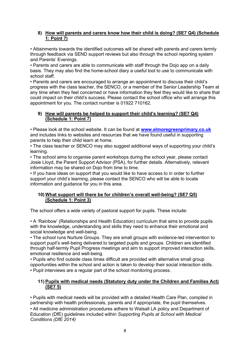## **8) How will parents and carers know how their child is doing? (SE7 Q4) (Schedule 1: Point 7)**

• Attainments towards the identified outcomes will be shared with parents and carers termly through feedback via SEND support reviews but also through the school reporting system and Parents' Evenings.

• Parents and carers are able to communicate with staff through the Dojo app on a daily basis. They may also find the home-school diary a useful tool to use to communicate with school staff.

• Parents and carers are encouraged to arrange an appointment to discuss their child's progress with the class teacher, the SENCO, or a member of the Senior Leadership Team at any time when they feel concerned or have information they feel they would like to share that could impact on their child's success. Please contact the school office who will arrange this appointment for you. The contact number is 01922 710162.

#### **9) How will parents be helped to support their child's learning? (SE7 Q4) (Schedule 1: Point 7)**

• Please look at the school website. It can be found at **[www.elmoregreenprimary.co.uk](http://www.elmoregreenprimary.co.uk/)** and includes links to websites and resources that we have found useful in supporting parents to help their child learn at home.

• The class teacher or SENCO may also suggest additional ways of supporting your child's learning.

• The school aims to organise parent workshops during the school year, please contact Josie Lloyd, the Parent Support Advisor (PSA), for further details. Alternatively, relevant information may be shared on Dojo from time to time.

• If you have ideas on support that you would like to have access to in order to further support your child's learning, please contact the SENCO who will be able to locate information and guidance for you in this area.

# **10) What support will there be for children's overall well-being? (SE7 Q5) (Schedule 1: Point 3)**

The school offers a wide variety of pastoral support for pupils. These include:

• A 'Rainbow' (Relationships and Health Education) curriculum that aims to provide pupils with the knowledge, understanding and skills they need to enhance their emotional and social knowledge and well-being.

• The school runs Nurture Groups. They are small groups with evidence-led intervention to support pupil's well-being delivered to targeted pupils and groups. Children are identified through half-termly Pupil Progress meetings and aim to support improved interaction skills, emotional resilience and well-being.

• Pupils who find outside class times difficult are provided with alternative small group opportunities within the school and action is taken to develop their social interaction skills. • Pupil interviews are a regular part of the school monitoring process.

## **11) Pupils with medical needs (Statutory duty under the Children and Families Act) (SE7 5)**

• Pupils with medical needs will be provided with a detailed Health Care Plan, compiled in partnership with health professionals, parents and if appropriate, the pupil themselves. • All medicine administration procedures adhere to Walsall LA policy and Department of Education (DfE) guidelines included within *Supporting Pupils at School with Medical Conditions (DfE 2014)*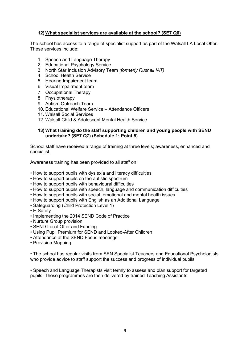#### **12) What specialist services are available at the school? (SE7 Q6)**

The school has access to a range of specialist support as part of the Walsall LA Local Offer. These services include:

- 1. Speech and Language Therapy
- 2. Educational Psychology Service
- 3. North Star Inclusion Advisory Team *(formerly Rushall IAT)*
- 4. School Health Service
- 5. Hearing Impairment team
- 6. Visual Impairment team
- 7. Occupational Therapy
- 8. Physiotherapy
- 9. Autism Outreach Team
- 10. Educational Welfare Service Attendance Officers
- 11. Walsall Social Services
- 12. Walsall Child & Adolescent Mental Health Service

#### **13) What training do the staff supporting children and young people with SEND undertake? (SE7 Q7) (Schedule 1: Point 5)**

School staff have received a range of training at three levels; awareness, enhanced and specialist.

Awareness training has been provided to all staff on:

- How to support pupils with dyslexia and literacy difficulties
- How to support pupils on the autistic spectrum
- How to support pupils with behavioural difficulties
- How to support pupils with speech, language and communication difficulties
- How to support pupils with social, emotional and mental health issues
- How to support pupils with English as an Additional Language
- Safeguarding (Child Protection Level 1)
- E-Safety
- Implementing the 2014 SEND Code of Practice
- Nurture Group provision
- SEND Local Offer and Funding
- Using Pupil Premium for SEND and Looked-After Children
- Attendance at the SEND Focus meetings
- Provision Mapping

• The school has regular visits from SEN Specialist Teachers and Educational Psychologists who provide advice to staff support the success and progress of individual pupils

• Speech and Language Therapists visit termly to assess and plan support for targeted pupils. These programmes are then delivered by trained Teaching Assistants.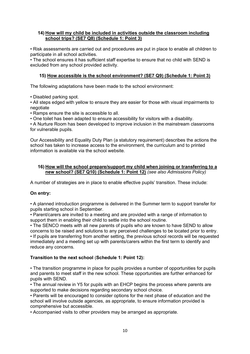## **14) How will my child be included in activities outside the classroom including school trips? (SE7 Q8) (Schedule 1: Point 3)**

*•* Risk assessments are carried out and procedures are put in place to enable all children to participate in all school activities.

• The school ensures it has sufficient staff expertise to ensure that no child with SEND is excluded from any school provided activity.

# **15) How accessible is the school environment? (SE7 Q9) (Schedule 1: Point 3)**

The following adaptations have been made to the school environment:

• Disabled parking spot.

• All steps edged with yellow to ensure they are easier for those with visual impairments to negotiate

• Ramps ensure the site is accessible to all.

• One toilet has been adapted to ensure accessibility for visitors with a disability.

• A Nurture Room has been developed to improve inclusion in the mainstream classrooms for vulnerable pupils.

Our Accessibility and Equality Duty Plan (a statutory requirement) describes the actions the school has taken to increase access to the environment, the curriculum and to printed information is available via the school website.

## **16) How will the school prepare/support my child when joining or transferring to a new school? (SE7 Q10) (Schedule 1: Point 12)** *(see also Admissions Policy)*

A number of strategies are in place to enable effective pupils' transition. These include:

# **On entry:**

• A planned introduction programme is delivered in the Summer term to support transfer for pupils starting school in September.

• Parent/carers are invited to a meeting and are provided with a range of information to support them in enabling their child to settle into the school routine.

• The SENCO meets with all new parents of pupils who are known to have SEND to allow concerns to be raised and solutions to any perceived challenges to be located prior to entry. • If pupils are transferring from another setting, the previous school records will be requested immediately and a meeting set up with parents/carers within the first term to identify and reduce any concerns.

# **Transition to the next school** (**Schedule 1: Point 12):**

*•* The transition programme in place for pupils provides a number of opportunities for pupils and parents to meet staff in the new school. These opportunities are further enhanced for pupils with SEND.

• The annual review in Y5 for pupils with an EHCP begins the process where parents are supported to make decisions regarding secondary school choice.

• Parents will be encouraged to consider options for the next phase of education and the school will involve outside agencies, as appropriate, to ensure information provided is comprehensive but accessible.

• Accompanied visits to other providers may be arranged as appropriate.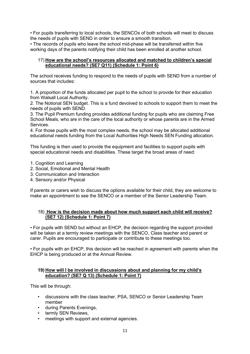• For pupils transferring to local schools, the SENCOs of both schools will meet to discuss the needs of pupils with SEND in order to ensure a smooth transition.

• The records of pupils who leave the school mid-phase will be transferred within five working days of the parents notifying their child has been enrolled at another school.

### 17) **How are the school's resources allocated and matched to children's special educational needs? (SE7 Q11) (Schedule 1: Point 6)**

The school receives funding to respond to the needs of pupils with SEND from a number of sources that includes:

1. A proportion of the funds allocated per pupil to the school to provide for their education from Walsall Local Authority.

2. The Notional SEN budget. This is a fund devolved to schools to support them to meet the needs of pupils with SEND.

3. The Pupil Premium funding provides additional funding for pupils who are claiming Free School Meals, who are in the care of the local authority or whose parents are in the Armed Services.

4. For those pupils with the most complex needs, the school may be allocated additional educational needs funding from the Local Authorities High Needs SEN Funding allocation.

This funding is then used to provide the equipment and facilities to support pupils with special educational needs and disabilities. These target the broad areas of need:

- 1. Cognition and Learning
- 2. Social, Emotional and Mental Health
- 3. Communication and Interaction
- 4. Sensory and/or Physical

If parents or carers wish to discuss the options available for their child, they are welcome to make an appointment to see the SENCO or a member of the Senior Leadership Team.

## 18) **How is the decision made about how much support each child will receive? (SE7 12) (Schedule 1: Point 7)**

• For pupils with SEND but without an EHCP, the decision regarding the support provided will be taken at a termly review meetings with the SENCO, Class teacher and parent or carer. Pupils are encouraged to participate or contribute to these meetings too.

• For pupils with an EHCP, this decision will be reached in agreement with parents when the EHCP is being produced or at the Annual Review.

## **19) How will I be involved in discussions about and planning for my child's education? (SE7 Q 13) (Schedule 1: Point 7)**

This will be through:

- discussions with the class teacher, PSA, SENCO or Senior Leadership Team member
- during Parents Evenings,
- termly SEN Reviews,
- meetings with support and external agencies.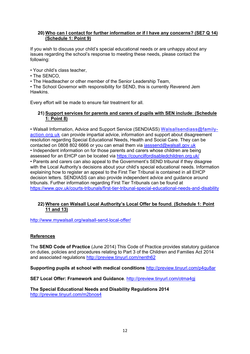## **20) Who can I contact for further information or if I have any concerns? (SE7 Q 14) (Schedule 1: Point 9)**

If you wish to discuss your child's special educational needs or are unhappy about any issues regarding the school's response to meeting these needs, please contact the following:

• Your child's class teacher,

• The SENCO,

• The Headteacher or other member of the Senior Leadership Team,

• The School Governor with responsibility for SEND, this is currently Reverend Jem **Hawkins** 

Every effort will be made to ensure fair treatment for all.

## **21) Support services for parents and carers of pupils with SEN include**: **(Schedule 1: Point 8)**

• Walsall Information, Advice and Support Service (SENDIASS) [Walsallsendiass@family](mailto:Walsallsendiass@family-action.org.uk)[action.org.uk](mailto:Walsallsendiass@family-action.org.uk) can provide impartial advice, information and support about disagreement resolution regarding Special Educational Needs, Health and Social Care. They can be contacted on 0808 802 6666 or you can email them via [iasssend@walsall.gov.uk](mailto:iasssend@walsall.gov.uk) • Independent information on for those parents and carers whose children are being assessed for an EHCP can be located via<https://councilfordisabledchildren.org.uk/> • Parents and carers can also appeal to the Government's SEND tribunal if they disagree with the Local Authority's decisions about your child's special educational needs. Information explaining how to register an appeal to the First Tier Tribunal is contained in all EHCP decision letters. SENDIASS can also provide independent advice and guidance around tribunals. Further information regarding First Tier Tribunals can be found at <https://www.gov.uk/courts-tribunals/first-tier-tribunal-special-educational-needs-and-disability>

## **22) Where can Walsall Local Authority's Local Offer be found**. **(Schedule 1: Point 11 and 13)**

http://www.mywalsall.org/walsall-send-local-offer/

# **References**

The **SEND Code of Practice** (June 2014) This Code of Practice provides statutory guidance on duties, policies and procedures relating to Part 3 of the Children and Families Act 2014 and associated regulations<http://preview.tinyurl.com/nenth62>

**Supporting pupils at school with medical conditions** <http://preview.tinyurl.com/p4qu8ar>

**SE7 Local Offer: Framework and Guidance**.<http://preview.tinyurl.com/otma4gj>

**The Special Educational Needs and Disability Regulations 2014**  <http://preview.tinyurl.com/m2bnos4>